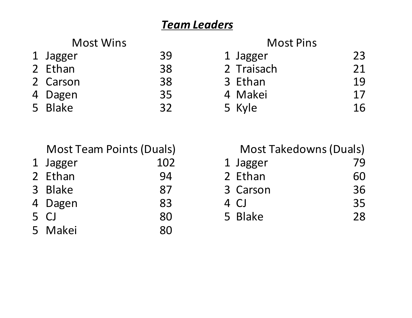## *Team Leaders*

|              | <b>Most Wins</b> |    |
|--------------|------------------|----|
| $\mathsf{L}$ | Jagger           | 39 |
|              | 2 Ethan          | 38 |
|              | 2 Carson         | 38 |
|              | l Dagen          | 35 |
|              |                  |    |

| <b>Most Wins</b> |          |    | <b>Most Pins</b> |    |  |  |
|------------------|----------|----|------------------|----|--|--|
|                  | 1 Jagger | 39 | 1 Jagger         | 23 |  |  |
|                  | 2 Ethan  | 38 | 2 Traisach       | 21 |  |  |
|                  | 2 Carson | 38 | 3 Ethan          | 19 |  |  |
|                  | 4 Dagen  | 35 | 4 Makei          | 17 |  |  |
|                  | 5 Blake  | 32 | 5 Kyle           | 16 |  |  |

| <b>Most Team Points (Duals)</b> |     | <b>Most Takedowns (Duals)</b> |    |  |  |  |
|---------------------------------|-----|-------------------------------|----|--|--|--|
| 1 Jagger                        | 102 | 1 Jagger                      | 79 |  |  |  |
| 2 Ethan                         | 94  | 2 Ethan                       | 60 |  |  |  |
| 3 Blake                         | 87  | 3 Carson                      | 36 |  |  |  |
| 4 Dagen                         | 83  | 4 CJ                          | 35 |  |  |  |
| 5 CJ                            | 80  | 5 Blake                       | 28 |  |  |  |
| 5 Makei                         | 80  |                               |    |  |  |  |

| <b>Most Team Points (Duals)</b> |     | <b>Most Takedowns (Duals)</b> |    |  |  |  |
|---------------------------------|-----|-------------------------------|----|--|--|--|
| Jagger                          | 102 | 1 Jagger                      | 79 |  |  |  |
| Ethan                           | 94  | 2 Ethan                       | 60 |  |  |  |
| <b>Blake</b>                    | 87  | 3 Carson                      | 36 |  |  |  |
| Dagen                           | 83  | 4 CJ                          | 35 |  |  |  |
| CJ                              | 80  | 5 Blake                       | 28 |  |  |  |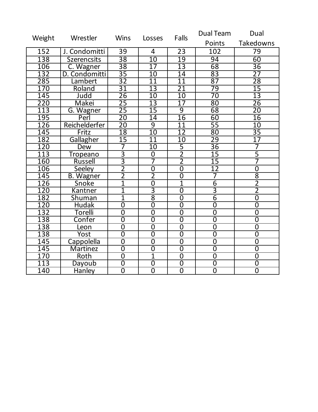| Weight | Wrestler           | <b>Wins</b>     | Losses          | Falls           | Dual Team       | Dual             |  |
|--------|--------------------|-----------------|-----------------|-----------------|-----------------|------------------|--|
|        |                    |                 |                 | Points          |                 | <b>Takedowns</b> |  |
| 152    | J. Condomitti      | 39              | 4               | 23              | 102             | 79               |  |
| 138    | <b>Szerencsits</b> | $\overline{38}$ | $\overline{10}$ | $\overline{19}$ | 94              | 60               |  |
| 106    | C. Wagner          | $\overline{38}$ | $\overline{17}$ | 13              | 68              | $\overline{36}$  |  |
| 132    | D. Condomitti      | $\overline{35}$ | $\overline{10}$ | $\overline{14}$ | 83              | $\overline{27}$  |  |
| 285    | Lambert            | $\overline{32}$ | $\overline{11}$ | $\overline{11}$ | $\overline{87}$ | $\overline{28}$  |  |
| 170    | Roland             | $\overline{31}$ | 13              | $\overline{21}$ | 79              | $\overline{15}$  |  |
| 145    | Judd               | $\overline{26}$ | $\overline{10}$ | $\overline{10}$ | $\overline{70}$ | $\overline{13}$  |  |
| 220    | Makei              | $\overline{25}$ | $\overline{13}$ | $\overline{17}$ | $\overline{80}$ | $\overline{26}$  |  |
| 113    | G. Wagner          | $\overline{25}$ | $\overline{15}$ | $\overline{9}$  | $\overline{68}$ | $\overline{20}$  |  |
| 195    | Perl               | $\overline{20}$ | $1\overline{4}$ | 16              | 60              | 16               |  |
| 126    | Reichelderfer      | $\overline{20}$ | $\overline{9}$  | 11              | $\overline{55}$ | 10               |  |
| 145    | Fritz              | 18              | $\overline{10}$ | $\overline{12}$ | 80              | $\overline{35}$  |  |
| 182    | Gallagher          | $\overline{15}$ | $\overline{11}$ | $\overline{10}$ | 29              | $\overline{17}$  |  |
| 120    | Dew                | 7               | $\overline{10}$ | $\overline{5}$  | $\overline{36}$ | 7                |  |
| 113    | Tropeano           | $\overline{3}$  | $\overline{0}$  | $\overline{2}$  | $\overline{15}$ | $\overline{5}$   |  |
| 160    | <b>Russell</b>     | $\overline{3}$  | 7               | $\overline{2}$  | $\overline{15}$ | 7                |  |
| 106    | Seeley             | $\overline{2}$  | $\overline{0}$  | $\overline{0}$  | $\overline{12}$ | $\overline{0}$   |  |
| 145    | B. Wagner          | $\overline{2}$  | $\overline{2}$  | $\overline{0}$  | $\overline{7}$  | $\overline{8}$   |  |
| 126    | Snoke              | $\overline{1}$  | $\overline{0}$  | $\overline{1}$  | $\overline{6}$  | $\overline{2}$   |  |
| 120    | Kantner            | $\overline{1}$  | $\overline{3}$  | $\overline{0}$  | 3               | $\overline{2}$   |  |
| 182    | Shuman             | $\overline{1}$  | $\overline{8}$  | $\overline{0}$  | $\overline{6}$  | $\overline{0}$   |  |
| 120    | <b>Hudak</b>       | $\overline{0}$  | $\overline{0}$  | $\overline{0}$  | $\overline{0}$  | $\overline{0}$   |  |
| 132    | <u>Torelli</u>     | $\overline{0}$  | $\overline{0}$  | $\overline{0}$  | $\overline{0}$  | $\overline{0}$   |  |
| 138    | Confer             | $\overline{0}$  | $\overline{0}$  | $\overline{0}$  | $\overline{0}$  | $\overline{0}$   |  |
| 138    | Leon               | $\overline{0}$  | $\overline{0}$  | $\overline{0}$  | $\overline{0}$  | $\overline{0}$   |  |
| 138    | Yost               | $\overline{0}$  | $\overline{0}$  | $\overline{0}$  | $\overline{0}$  | $\overline{0}$   |  |
| 145    | Cappolella         | $\overline{0}$  | $\overline{0}$  | $\overline{0}$  | $\overline{0}$  | $\overline{0}$   |  |
| 145    | <b>Martinez</b>    | $\overline{0}$  | $\overline{0}$  | $\overline{0}$  | $\overline{0}$  | $\overline{0}$   |  |
| 170    | Roth               | $\overline{0}$  | $\overline{1}$  | $\overline{0}$  | $\overline{0}$  | $\overline{0}$   |  |
| 113    | Dayoub             | $\overline{0}$  | $\overline{0}$  | $\overline{0}$  | $\overline{0}$  | $\overline{0}$   |  |
| 140    | Hanley             | $\overline{0}$  | $\overline{0}$  | $\overline{0}$  | $\overline{0}$  | $\overline{0}$   |  |